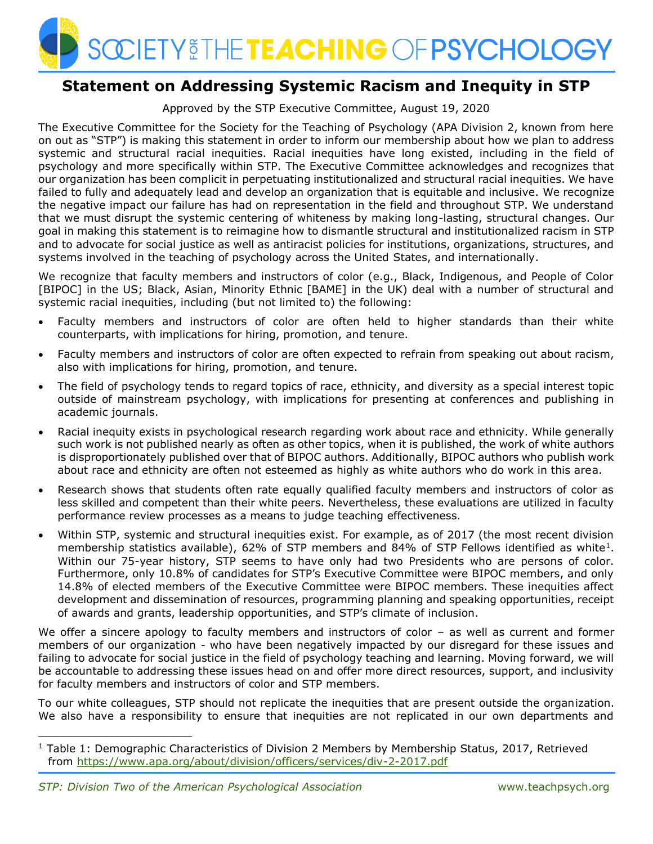

## **Statement on Addressing Systemic Racism and Inequity in STP**

Approved by the STP Executive Committee, August 19, 2020

The Executive Committee for the Society for the Teaching of Psychology (APA Division 2, known from here on out as "STP") is making this statement in order to inform our membership about how we plan to address systemic and structural racial inequities. Racial inequities have long existed, including in the field of psychology and more specifically within STP. The Executive Committee acknowledges and recognizes that our organization has been complicit in perpetuating institutionalized and structural racial inequities. We have failed to fully and adequately lead and develop an organization that is equitable and inclusive. We recognize the negative impact our failure has had on representation in the field and throughout STP. We understand that we must disrupt the systemic centering of whiteness by making long-lasting, structural changes. Our goal in making this statement is to reimagine how to dismantle structural and institutionalized racism in STP and to advocate for social justice as well as antiracist policies for institutions, organizations, structures, and systems involved in the teaching of psychology across the United States, and internationally.

We recognize that faculty members and instructors of color (e.g., Black, Indigenous, and People of Color [BIPOC] in the US; Black, Asian, Minority Ethnic [BAME] in the UK) deal with a number of structural and systemic racial inequities, including (but not limited to) the following:

- Faculty members and instructors of color are often held to higher standards than their white counterparts, with implications for hiring, promotion, and tenure.
- Faculty members and instructors of color are often expected to refrain from speaking out about racism, also with implications for hiring, promotion, and tenure.
- The field of psychology tends to regard topics of race, ethnicity, and diversity as a special interest topic outside of mainstream psychology, with implications for presenting at conferences and publishing in academic journals.
- Racial inequity exists in psychological research regarding work about race and ethnicity. While generally such work is not published nearly as often as other topics, when it is published, the work of white authors is disproportionately published over that of BIPOC authors. Additionally, BIPOC authors who publish work about race and ethnicity are often not esteemed as highly as white authors who do work in this area.
- Research shows that students often rate equally qualified faculty members and instructors of color as less skilled and competent than their white peers. Nevertheless, these evaluations are utilized in faculty performance review processes as a means to judge teaching effectiveness.
- Within STP, systemic and structural inequities exist. For example, as of 2017 (the most recent division membership statistics available), 62% of STP members and 84% of STP Fellows identified as white<sup>1</sup>. Within our 75-year history, STP seems to have only had two Presidents who are persons of color. Furthermore, only 10.8% of candidates for STP's Executive Committee were BIPOC members, and only 14.8% of elected members of the Executive Committee were BIPOC members. These inequities affect development and dissemination of resources, programming planning and speaking opportunities, receipt of awards and grants, leadership opportunities, and STP's climate of inclusion.

We offer a sincere apology to faculty members and instructors of color – as well as current and former members of our organization - who have been negatively impacted by our disregard for these issues and failing to advocate for social justice in the field of psychology teaching and learning. Moving forward, we will be accountable to addressing these issues head on and offer more direct resources, support, and inclusivity for faculty members and instructors of color and STP members.

To our white colleagues, STP should not replicate the inequities that are present outside the organization. We also have a responsibility to ensure that inequities are not replicated in our own departments and

 $1$  Table 1: Demographic Characteristics of Division 2 Members by Membership Status, 2017, Retrieved from<https://www.apa.org/about/division/officers/services/div-2-2017.pdf>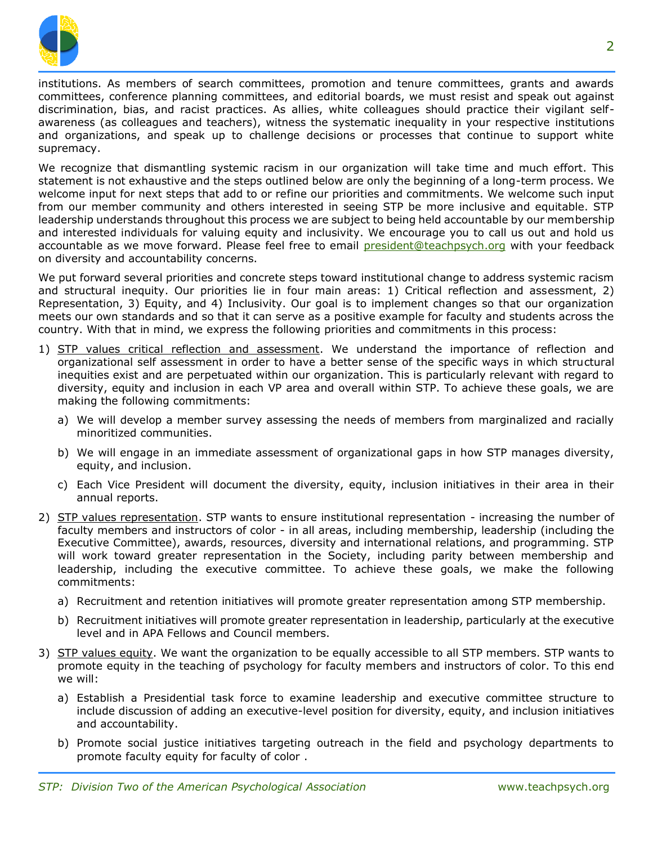

institutions. As members of search committees, promotion and tenure committees, grants and awards committees, conference planning committees, and editorial boards, we must resist and speak out against discrimination, bias, and racist practices. As allies, white colleagues should practice their vigilant selfawareness (as colleagues and teachers), witness the systematic inequality in your respective institutions and organizations, and speak up to challenge decisions or processes that continue to support white supremacy.

We recognize that dismantling systemic racism in our organization will take time and much effort. This statement is not exhaustive and the steps outlined below are only the beginning of a long-term process. We welcome input for next steps that add to or refine our priorities and commitments. We welcome such input from our member community and others interested in seeing STP be more inclusive and equitable. STP leadership understands throughout this process we are subject to being held accountable by our membership and interested individuals for valuing equity and inclusivity. We encourage you to call us out and hold us accountable as we move forward. Please feel free to email [president@teachpsych.org](mailto:president@teachpsych.org) with your feedback on diversity and accountability concerns.

We put forward several priorities and concrete steps toward institutional change to address systemic racism and structural inequity. Our priorities lie in four main areas: 1) Critical reflection and assessment, 2) Representation, 3) Equity, and 4) Inclusivity. Our goal is to implement changes so that our organization meets our own standards and so that it can serve as a positive example for faculty and students across the country. With that in mind, we express the following priorities and commitments in this process:

- 1) STP values critical reflection and assessment. We understand the importance of reflection and organizational self assessment in order to have a better sense of the specific ways in which structural inequities exist and are perpetuated within our organization. This is particularly relevant with regard to diversity, equity and inclusion in each VP area and overall within STP. To achieve these goals, we are making the following commitments:
	- a) We will develop a member survey assessing the needs of members from marginalized and racially minoritized communities.
	- b) We will engage in an immediate assessment of organizational gaps in how STP manages diversity, equity, and inclusion.
	- c) Each Vice President will document the diversity, equity, inclusion initiatives in their area in their annual reports.
- 2) STP values representation. STP wants to ensure institutional representation increasing the number of faculty members and instructors of color - in all areas, including membership, leadership (including the Executive Committee), awards, resources, diversity and international relations, and programming. STP will work toward greater representation in the Society, including parity between membership and leadership, including the executive committee. To achieve these goals, we make the following commitments:
	- a) Recruitment and retention initiatives will promote greater representation among STP membership.
	- b) Recruitment initiatives will promote greater representation in leadership, particularly at the executive level and in APA Fellows and Council members.
- 3) STP values equity. We want the organization to be equally accessible to all STP members. STP wants to promote equity in the teaching of psychology for faculty members and instructors of color. To this end we will:
	- a) Establish a Presidential task force to examine leadership and executive committee structure to include discussion of adding an executive-level position for diversity, equity, and inclusion initiatives and accountability.
	- b) Promote social justice initiatives targeting outreach in the field and psychology departments to promote faculty equity for faculty of color .